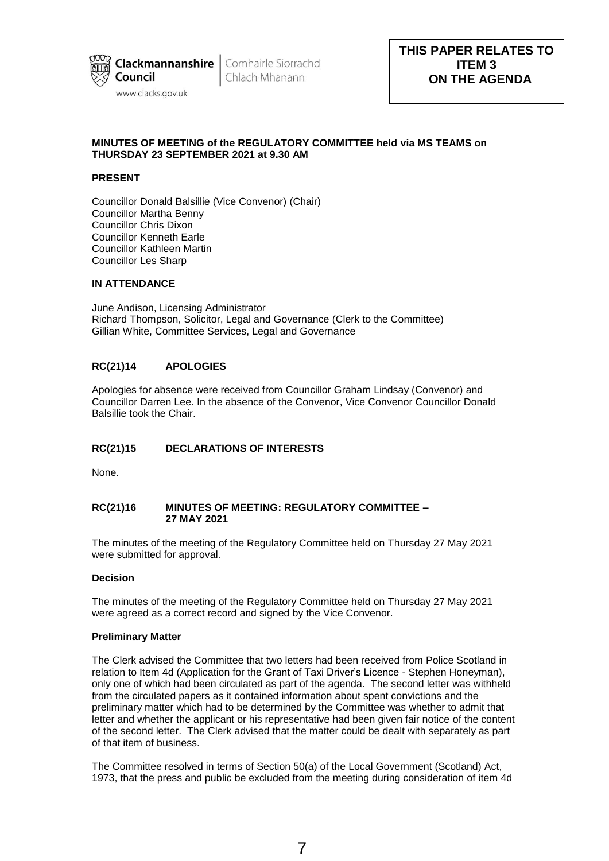

**Clackmannanshire** Comhairle Siorrachd Chlach Mhanann

# **MINUTES OF MEETING of the REGULATORY COMMITTEE held via MS TEAMS on THURSDAY 23 SEPTEMBER 2021 at 9.30 AM**

# **PRESENT**

Councillor Donald Balsillie (Vice Convenor) (Chair) Councillor Martha Benny Councillor Chris Dixon Councillor Kenneth Earle Councillor Kathleen Martin Councillor Les Sharp

#### **IN ATTENDANCE**

June Andison, Licensing Administrator Richard Thompson, Solicitor, Legal and Governance (Clerk to the Committee) Gillian White, Committee Services, Legal and Governance

## **RC(21)14 APOLOGIES**

Apologies for absence were received from Councillor Graham Lindsay (Convenor) and Councillor Darren Lee. In the absence of the Convenor, Vice Convenor Councillor Donald Balsillie took the Chair.

# **RC(21)15 DECLARATIONS OF INTERESTS**

None.

# **RC(21)16 MINUTES OF MEETING: REGULATORY COMMITTEE – 27 MAY 2021**

The minutes of the meeting of the Regulatory Committee held on Thursday 27 May 2021 were submitted for approval.

## **Decision**

The minutes of the meeting of the Regulatory Committee held on Thursday 27 May 2021 were agreed as a correct record and signed by the Vice Convenor.

#### **Preliminary Matter**

The Clerk advised the Committee that two letters had been received from Police Scotland in relation to Item 4d (Application for the Grant of Taxi Driver's Licence - Stephen Honeyman), only one of which had been circulated as part of the agenda. The second letter was withheld from the circulated papers as it contained information about spent convictions and the preliminary matter which had to be determined by the Committee was whether to admit that letter and whether the applicant or his representative had been given fair notice of the content of the second letter. The Clerk advised that the matter could be dealt with separately as part of that item of business.

The Committee resolved in terms of Section 50(a) of the Local Government (Scotland) Act, 1973, that the press and public be excluded from the meeting during consideration of item 4d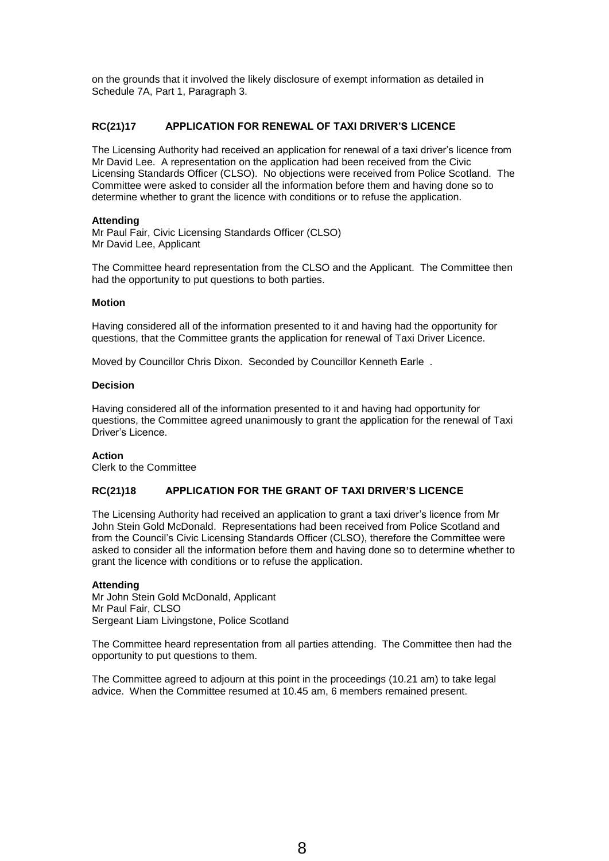on the grounds that it involved the likely disclosure of exempt information as detailed in Schedule 7A, Part 1, Paragraph 3.

# **RC(21)17 APPLICATION FOR RENEWAL OF TAXI DRIVER'S LICENCE**

The Licensing Authority had received an application for renewal of a taxi driver's licence from Mr David Lee. A representation on the application had been received from the Civic Licensing Standards Officer (CLSO). No objections were received from Police Scotland. The Committee were asked to consider all the information before them and having done so to determine whether to grant the licence with conditions or to refuse the application.

## **Attending**

Mr Paul Fair, Civic Licensing Standards Officer (CLSO) Mr David Lee, Applicant

The Committee heard representation from the CLSO and the Applicant. The Committee then had the opportunity to put questions to both parties.

## **Motion**

Having considered all of the information presented to it and having had the opportunity for questions, that the Committee grants the application for renewal of Taxi Driver Licence.

Moved by Councillor Chris Dixon. Seconded by Councillor Kenneth Earle .

## **Decision**

Having considered all of the information presented to it and having had opportunity for questions, the Committee agreed unanimously to grant the application for the renewal of Taxi Driver's Licence.

#### **Action**

Clerk to the Committee

# **RC(21)18 APPLICATION FOR THE GRANT OF TAXI DRIVER'S LICENCE**

The Licensing Authority had received an application to grant a taxi driver's licence from Mr John Stein Gold McDonald. Representations had been received from Police Scotland and from the Council's Civic Licensing Standards Officer (CLSO), therefore the Committee were asked to consider all the information before them and having done so to determine whether to grant the licence with conditions or to refuse the application.

#### **Attending**

Mr John Stein Gold McDonald, Applicant Mr Paul Fair, CLSO Sergeant Liam Livingstone, Police Scotland

The Committee heard representation from all parties attending. The Committee then had the opportunity to put questions to them.

The Committee agreed to adjourn at this point in the proceedings (10.21 am) to take legal advice. When the Committee resumed at 10.45 am, 6 members remained present.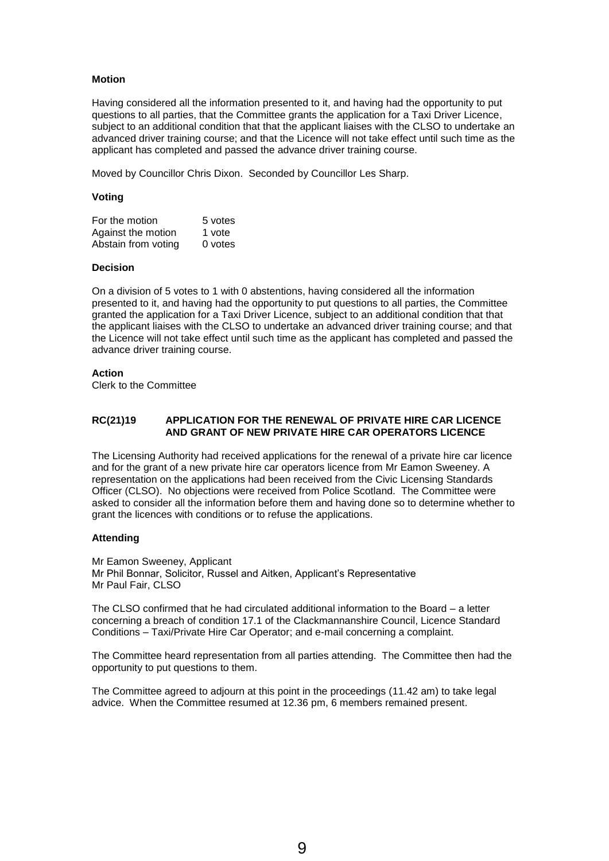## **Motion**

Having considered all the information presented to it, and having had the opportunity to put questions to all parties, that the Committee grants the application for a Taxi Driver Licence, subject to an additional condition that that the applicant liaises with the CLSO to undertake an advanced driver training course; and that the Licence will not take effect until such time as the applicant has completed and passed the advance driver training course.

Moved by Councillor Chris Dixon. Seconded by Councillor Les Sharp.

#### **Voting**

| For the motion      | 5 votes |
|---------------------|---------|
| Against the motion  | 1 vote  |
| Abstain from voting | 0 votes |

#### **Decision**

On a division of 5 votes to 1 with 0 abstentions, having considered all the information presented to it, and having had the opportunity to put questions to all parties, the Committee granted the application for a Taxi Driver Licence, subject to an additional condition that that the applicant liaises with the CLSO to undertake an advanced driver training course; and that the Licence will not take effect until such time as the applicant has completed and passed the advance driver training course.

## **Action**

Clerk to the Committee

## **RC(21)19 APPLICATION FOR THE RENEWAL OF PRIVATE HIRE CAR LICENCE AND GRANT OF NEW PRIVATE HIRE CAR OPERATORS LICENCE**

The Licensing Authority had received applications for the renewal of a private hire car licence and for the grant of a new private hire car operators licence from Mr Eamon Sweeney. A representation on the applications had been received from the Civic Licensing Standards Officer (CLSO). No objections were received from Police Scotland. The Committee were asked to consider all the information before them and having done so to determine whether to grant the licences with conditions or to refuse the applications.

#### **Attending**

Mr Eamon Sweeney, Applicant Mr Phil Bonnar, Solicitor, Russel and Aitken, Applicant's Representative Mr Paul Fair, CLSO

The CLSO confirmed that he had circulated additional information to the Board – a letter concerning a breach of condition 17.1 of the Clackmannanshire Council, Licence Standard Conditions – Taxi/Private Hire Car Operator; and e-mail concerning a complaint.

The Committee heard representation from all parties attending. The Committee then had the opportunity to put questions to them.

The Committee agreed to adjourn at this point in the proceedings (11.42 am) to take legal advice. When the Committee resumed at 12.36 pm, 6 members remained present.